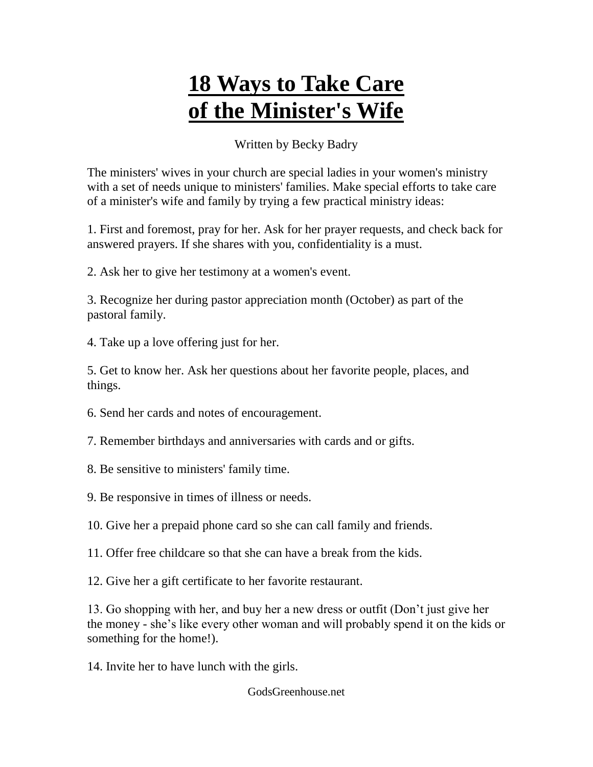## **18 Ways to Take Care of the Minister's Wife**

## Written by Becky Badry

The ministers' wives in your church are special ladies in your women's ministry with a set of needs unique to ministers' families. Make special efforts to take care of a minister's wife and family by trying a few practical ministry ideas:

1. First and foremost, pray for her. Ask for her prayer requests, and check back for answered prayers. If she shares with you, confidentiality is a must.

2. Ask her to give her testimony at a women's event.

3. Recognize her during pastor appreciation month (October) as part of the pastoral family.

4. Take up a love offering just for her.

5. Get to know her. Ask her questions about her favorite people, places, and things.

- 6. Send her cards and notes of encouragement.
- 7. Remember birthdays and anniversaries with cards and or gifts.
- 8. Be sensitive to ministers' family time.
- 9. Be responsive in times of illness or needs.
- 10. Give her a prepaid phone card so she can call family and friends.
- 11. Offer free childcare so that she can have a break from the kids.
- 12. Give her a gift certificate to her favorite restaurant.

13. Go shopping with her, and buy her a new dress or outfit (Don't just give her the money - she's like every other woman and will probably spend it on the kids or something for the home!).

14. Invite her to have lunch with the girls.

GodsGreenhouse.net